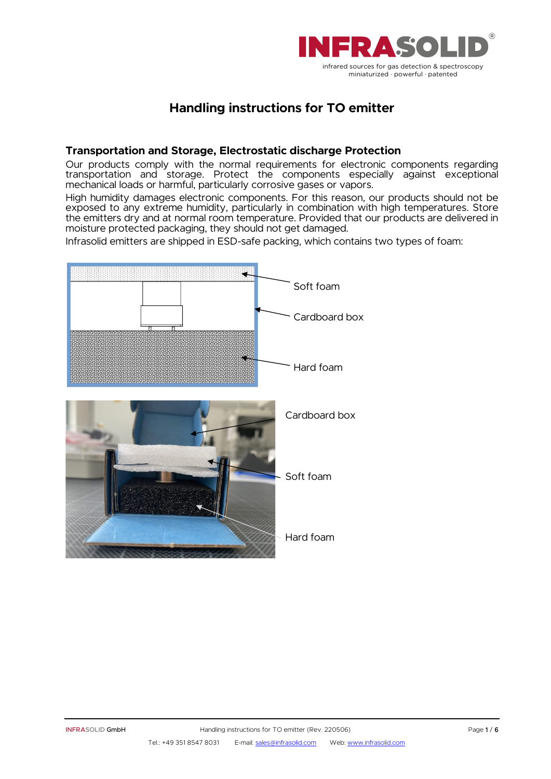

# **Handling instructions for TO emitter**

#### **Transportation and Storage, Electrostatic discharge Protection**

Our products comply with the normal requirements for electronic components regarding transportation and storage. Protect the components especially against exceptional mechanical loads or harmful, particularly corrosive gases or vapors.

High humidity damages electronic components. For this reason, our products should not be exposed to any extreme humidity, particularly in combination with high temperatures. Store the emitters dry and at normal room temperature. Provided that our products are delivered in moisture protected packaging, they should not get damaged.

Infrasolid emitters are shipped in ESD-safe packing, which contains two types of foam:

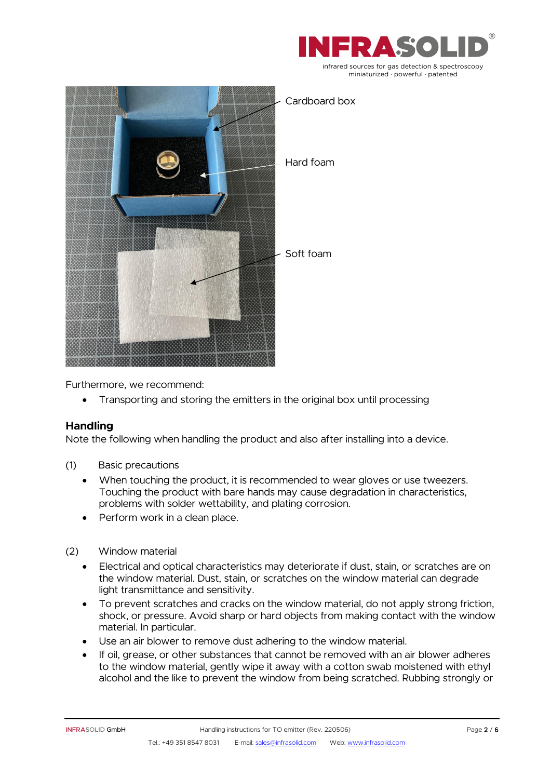



Furthermore, we recommend:

• Transporting and storing the emitters in the original box until processing

## **Handling**

Note the following when handling the product and also after installing into a device.

- (1) Basic precautions
	- When touching the product, it is recommended to wear gloves or use tweezers. Touching the product with bare hands may cause degradation in characteristics, problems with solder wettability, and plating corrosion.
	- Perform work in a clean place.
- (2) Window material
	- Electrical and optical characteristics may deteriorate if dust, stain, or scratches are on the window material. Dust, stain, or scratches on the window material can degrade light transmittance and sensitivity.
	- To prevent scratches and cracks on the window material, do not apply strong friction, shock, or pressure. Avoid sharp or hard objects from making contact with the window material. In particular.
	- Use an air blower to remove dust adhering to the window material.
	- If oil, grease, or other substances that cannot be removed with an air blower adheres to the window material, gently wipe it away with a cotton swab moistened with ethyl alcohol and the like to prevent the window from being scratched. Rubbing strongly or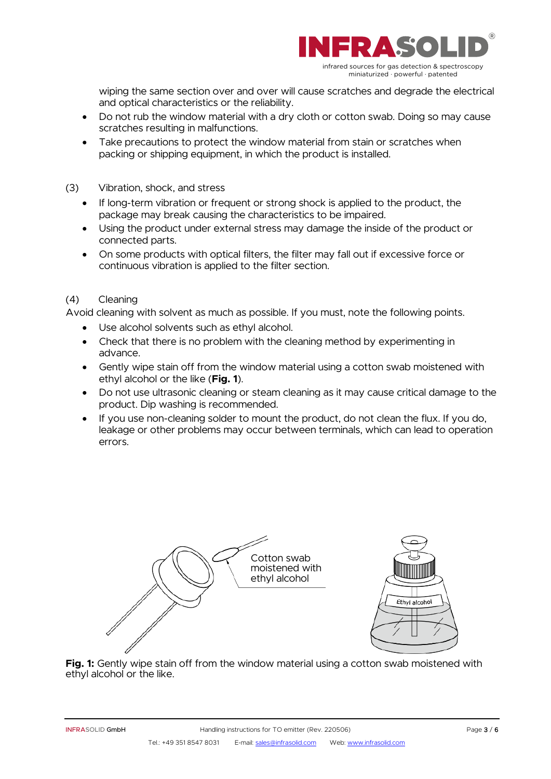

wiping the same section over and over will cause scratches and degrade the electrical and optical characteristics or the reliability.

- Do not rub the window material with a dry cloth or cotton swab. Doing so may cause scratches resulting in malfunctions.
- Take precautions to protect the window material from stain or scratches when packing or shipping equipment, in which the product is installed.
- (3) Vibration, shock, and stress
	- If long-term vibration or frequent or strong shock is applied to the product, the package may break causing the characteristics to be impaired.
	- Using the product under external stress may damage the inside of the product or connected parts.
	- On some products with optical filters, the filter may fall out if excessive force or continuous vibration is applied to the filter section.

#### (4) Cleaning

Avoid cleaning with solvent as much as possible. If you must, note the following points.

- Use alcohol solvents such as ethyl alcohol.
- Check that there is no problem with the cleaning method by experimenting in advance.
- Gently wipe stain off from the window material using a cotton swab moistened with ethyl alcohol or the like (**Fig. 1**).
- Do not use ultrasonic cleaning or steam cleaning as it may cause critical damage to the product. Dip washing is recommended.
- If you use non-cleaning solder to mount the product, do not clean the flux. If you do, leakage or other problems may occur between terminals, which can lead to operation errors.



**Fig. 1:** Gently wipe stain off from the window material using a cotton swab moistened with ethyl alcohol or the like.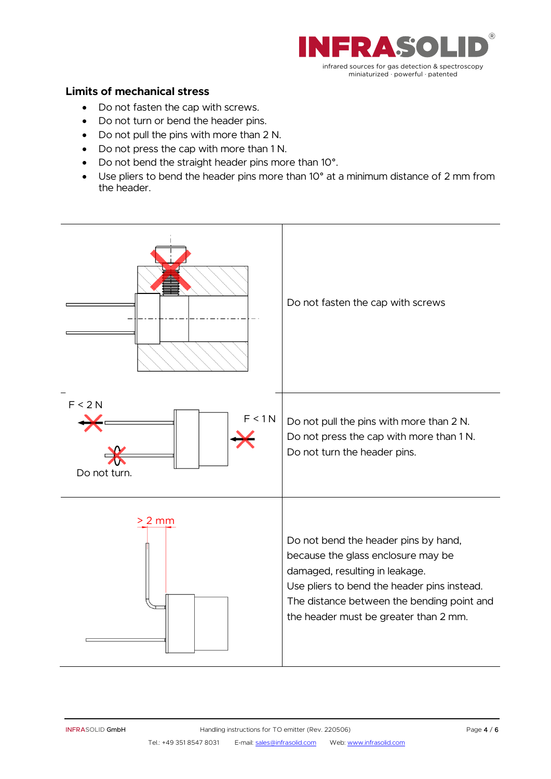

### **Limits of mechanical stress**

- Do not fasten the cap with screws.
- Do not turn or bend the header pins.
- Do not pull the pins with more than 2 N.
- Do not press the cap with more than 1 N.
- Do not bend the straight header pins more than 10°.
- Use pliers to bend the header pins more than 10° at a minimum distance of 2 mm from the header.

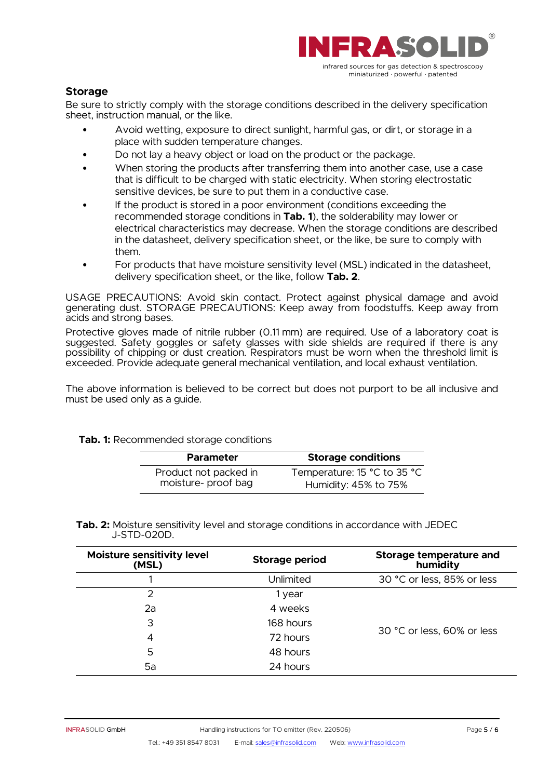

#### **Storage**

Be sure to strictly comply with the storage conditions described in the delivery specification sheet, instruction manual, or the like.

- Avoid wetting, exposure to direct sunlight, harmful gas, or dirt, or storage in a place with sudden temperature changes.
- Do not lay a heavy object or load on the product or the package.
- When storing the products after transferring them into another case, use a case that is difficult to be charged with static electricity. When storing electrostatic sensitive devices, be sure to put them in a conductive case.
- If the product is stored in a poor environment (conditions exceeding the recommended storage conditions in **Tab. 1**), the solderability may lower or electrical characteristics may decrease. When the storage conditions are described in the datasheet, delivery specification sheet, or the like, be sure to comply with them.
- For products that have moisture sensitivity level (MSL) indicated in the datasheet, delivery specification sheet, or the like, follow **Tab. 2**.

USAGE PRECAUTIONS: Avoid skin contact. Protect against physical damage and avoid generating dust. STORAGE PRECAUTIONS: Keep away from foodstuffs. Keep away from acids and strong bases.

Protective gloves made of nitrile rubber (0.11 mm) are required. Use of a laboratory coat is suggested. Safety goggles or safety glasses with side shields are required if there is any possibility of chipping or dust creation. Respirators must be worn when the threshold limit is exceeded. Provide adequate general mechanical ventilation, and local exhaust ventilation.

The above information is believed to be correct but does not purport to be all inclusive and must be used only as a guide.

#### **Tab. 1:** Recommended storage conditions

| <b>Parameter</b>      | <b>Storage conditions</b>   |
|-----------------------|-----------------------------|
| Product not packed in | Temperature: 15 °C to 35 °C |
| moisture-proof bag    | Humidity: 45% to 75%        |

**Tab. 2:** Moisture sensitivity level and storage conditions in accordance with JEDEC J-STD-020D.

| <b>Moisture sensitivity level</b><br>(MSL) | <b>Storage period</b> | Storage temperature and<br>humidity |  |
|--------------------------------------------|-----------------------|-------------------------------------|--|
|                                            | Unlimited             | 30 °C or less, 85% or less          |  |
| $\mathcal{P}$                              | 1 year                |                                     |  |
| 2a                                         | 4 weeks               |                                     |  |
| 3                                          | 168 hours             | 30 °C or less, 60% or less          |  |
| 4                                          | 72 hours              |                                     |  |
| 5                                          | 48 hours              |                                     |  |
| 5a                                         | 24 hours              |                                     |  |